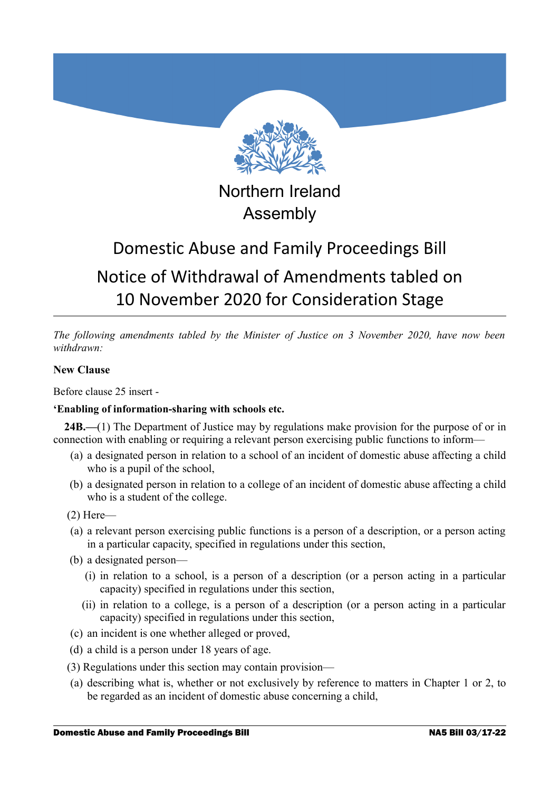

Northern Ireland Assembly

# Domestic Abuse and Family Proceedings Bill Notice of Withdrawal of Amendments tabled on 10 November 2020 for Consideration Stage

*The following amendments tabled by the Minister of Justice on 3 November 2020, have now been withdrawn:*

## **New Clause**

Before clause 25 insert -

## **'Enabling of information-sharing with schools etc.**

**24B.—**(1) The Department of Justice may by regulations make provision for the purpose of or in connection with enabling or requiring a relevant person exercising public functions to inform—

- (a) a designated person in relation to a school of an incident of domestic abuse affecting a child who is a pupil of the school,
- (b) a designated person in relation to a college of an incident of domestic abuse affecting a child who is a student of the college.

(2) Here—

- (a) a relevant person exercising public functions is a person of a description, or a person acting in a particular capacity, specified in regulations under this section,
- (b) a designated person—
	- (i) in relation to a school, is a person of a description (or a person acting in a particular capacity) specified in regulations under this section,
	- (ii) in relation to a college, is a person of a description (or a person acting in a particular capacity) specified in regulations under this section,
- (c) an incident is one whether alleged or proved,
- (d) a child is a person under 18 years of age.
- (3) Regulations under this section may contain provision—
- (a) describing what is, whether or not exclusively by reference to matters in Chapter 1 or 2, to be regarded as an incident of domestic abuse concerning a child,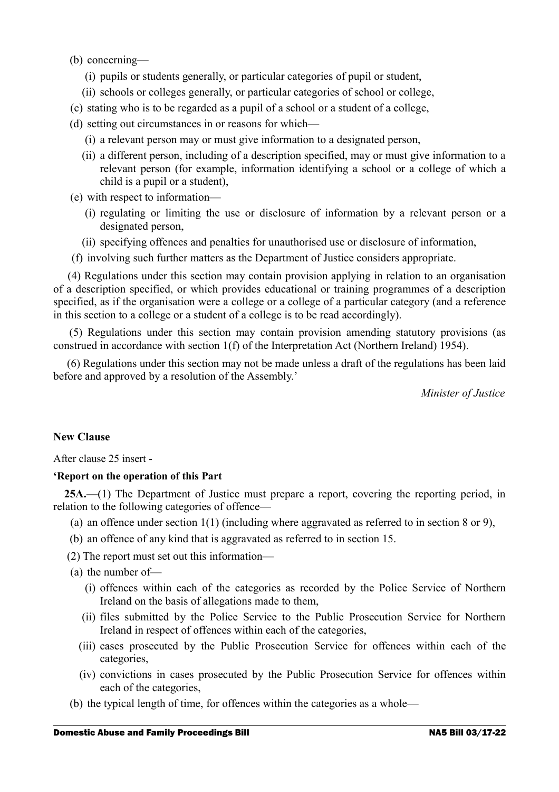- (b) concerning—
	- (i) pupils or students generally, or particular categories of pupil or student,
	- (ii) schools or colleges generally, or particular categories of school or college,
- (c) stating who is to be regarded as a pupil of a school or a student of a college,
- (d) setting out circumstances in or reasons for which—
	- (i) a relevant person may or must give information to a designated person,
	- (ii) a different person, including of a description specified, may or must give information to a relevant person (for example, information identifying a school or a college of which a child is a pupil or a student),
- (e) with respect to information—
	- (i) regulating or limiting the use or disclosure of information by a relevant person or a designated person,
	- (ii) specifying offences and penalties for unauthorised use or disclosure of information,
- (f) involving such further matters as the Department of Justice considers appropriate.

 (4) Regulations under this section may contain provision applying in relation to an organisation of a description specified, or which provides educational or training programmes of a description specified, as if the organisation were a college or a college of a particular category (and a reference in this section to a college or a student of a college is to be read accordingly).

 (5) Regulations under this section may contain provision amending statutory provisions (as construed in accordance with section 1(f) of the Interpretation Act (Northern Ireland) 1954).

 (6) Regulations under this section may not be made unless a draft of the regulations has been laid before and approved by a resolution of the Assembly.'

*Minister of Justice*

### **New Clause**

After clause 25 insert -

### **'Report on the operation of this Part**

**25A.—**(1) The Department of Justice must prepare a report, covering the reporting period, in relation to the following categories of offence—

- (a) an offence under section 1(1) (including where aggravated as referred to in section 8 or 9),
- (b) an offence of any kind that is aggravated as referred to in section 15.
- (2) The report must set out this information—
- (a) the number of—
	- (i) offences within each of the categories as recorded by the Police Service of Northern Ireland on the basis of allegations made to them,
	- (ii) files submitted by the Police Service to the Public Prosecution Service for Northern Ireland in respect of offences within each of the categories,
	- (iii) cases prosecuted by the Public Prosecution Service for offences within each of the categories,
	- (iv) convictions in cases prosecuted by the Public Prosecution Service for offences within each of the categories,
- (b) the typical length of time, for offences within the categories as a whole—